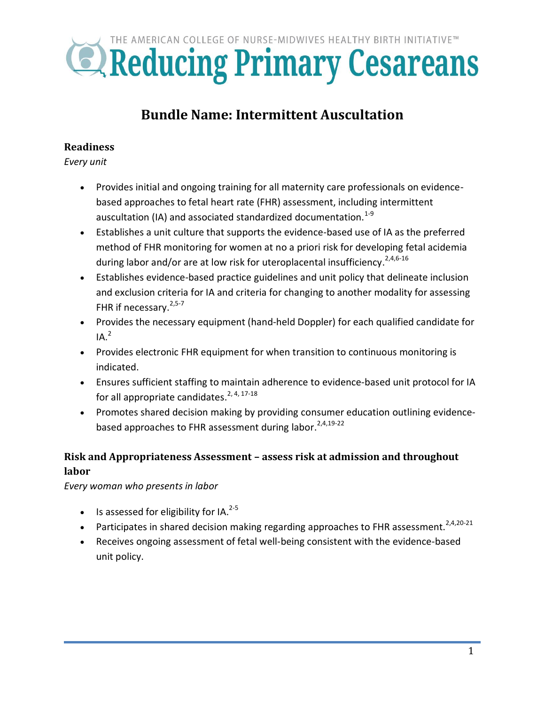# THE AMERICAN COLLEGE OF NURSE-MIDWIVES HEALTHY BIRTH INITIATIVE™ **EXPEDIATION SETTER PRIMETER CESATEANS**

## **Bundle Name: Intermittent Auscultation**

#### **Readiness**

*Every unit*

- Provides initial and ongoing training for all maternity care professionals on evidencebased approaches to fetal heart rate (FHR) assessment, including intermittent auscultation (IA) and associated standardized documentation. $1-9$
- Establishes a unit culture that supports the evidence-based use of IA as the preferred method of FHR monitoring for women at no a priori risk for developing fetal acidemia during labor and/or are at low risk for uteroplacental insufficiency.<sup>2,4,6-16</sup>
- Establishes evidence-based practice guidelines and unit policy that delineate inclusion and exclusion criteria for IA and criteria for changing to another modality for assessing FHR if necessary.<sup>2,5-7</sup>
- Provides the necessary equipment (hand-held Doppler) for each qualified candidate for  $IA.<sup>2</sup>$
- Provides electronic FHR equipment for when transition to continuous monitoring is indicated.
- Ensures sufficient staffing to maintain adherence to evidence-based unit protocol for IA for all appropriate candidates.<sup>2, 4, 17-18</sup>
- Promotes shared decision making by providing consumer education outlining evidencebased approaches to FHR assessment during labor.<sup>2,4,19-22</sup>

### **Risk and Appropriateness Assessment – assess risk at admission and throughout labor**

*Every woman who presents in labor*

- $\bullet$  Is assessed for eligibility for IA.<sup>2-5</sup>
- Participates in shared decision making regarding approaches to FHR assessment.<sup>2,4,20-21</sup>
- Receives ongoing assessment of fetal well-being consistent with the evidence-based unit policy.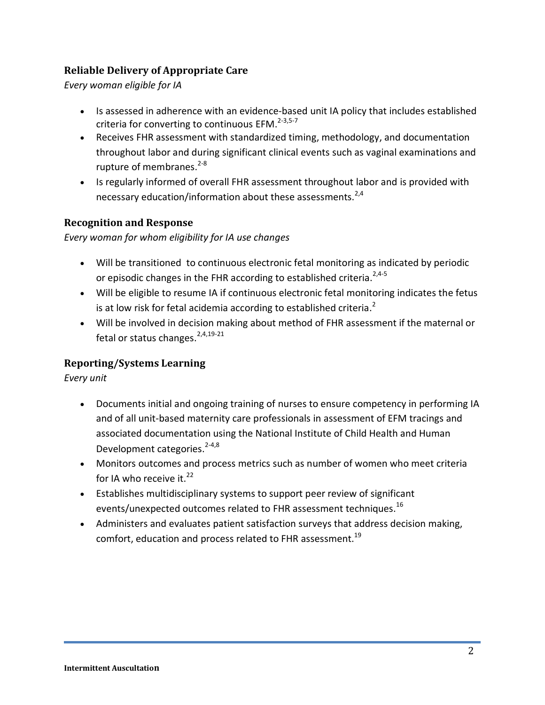#### **Reliable Delivery of Appropriate Care**

*Every woman eligible for IA*

- Is assessed in adherence with an evidence-based unit IA policy that includes established criteria for converting to continuous EFM.<sup>2-3,5-7</sup>
- Receives FHR assessment with standardized timing, methodology, and documentation throughout labor and during significant clinical events such as vaginal examinations and rupture of membranes.<sup>2-8</sup>
- Is regularly informed of overall FHR assessment throughout labor and is provided with necessary education/information about these assessments. $2,4$

#### **Recognition and Response**

*Every woman for whom eligibility for IA use changes*

- Will be transitioned to continuous electronic fetal monitoring as indicated by periodic or episodic changes in the FHR according to established criteria.<sup>2,4-5</sup>
- Will be eligible to resume IA if continuous electronic fetal monitoring indicates the fetus is at low risk for fetal acidemia according to established criteria.<sup>2</sup>
- Will be involved in decision making about method of FHR assessment if the maternal or fetal or status changes.<sup>2,4,19-21</sup>

#### **Reporting/Systems Learning**

*Every unit*

- Documents initial and ongoing training of nurses to ensure competency in performing IA and of all unit-based maternity care professionals in assessment of EFM tracings and associated documentation using the National Institute of Child Health and Human Development categories.<sup>2-4,8</sup>
- Monitors outcomes and process metrics such as number of women who meet criteria for IA who receive it.<sup>22</sup>
- Establishes multidisciplinary systems to support peer review of significant events/unexpected outcomes related to FHR assessment techniques.<sup>16</sup>
- Administers and evaluates patient satisfaction surveys that address decision making, comfort, education and process related to FHR assessment.<sup>19</sup>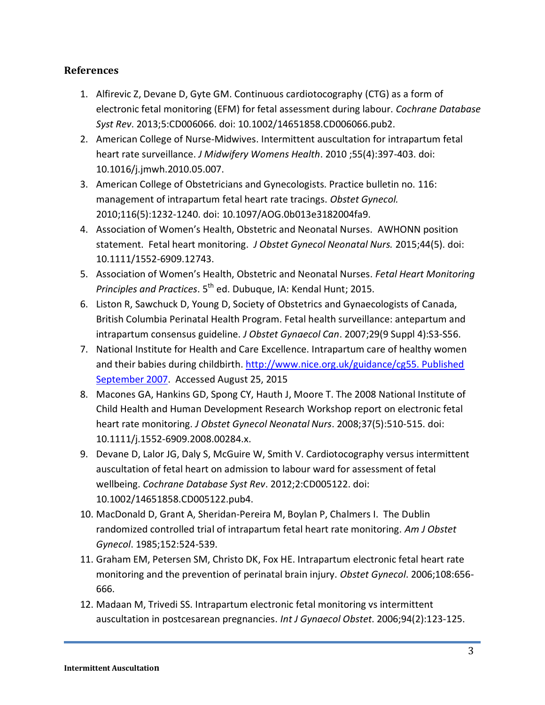#### **References**

- 1. Alfirevic Z, Devane D, Gyte GM. Continuous cardiotocography (CTG) as a form of electronic fetal monitoring (EFM) for fetal assessment during labour. *Cochrane Database Syst Rev*. 2013;5:CD006066. doi: 10.1002/14651858.CD006066.pub2.
- 2. American College of Nurse-Midwives. Intermittent auscultation for intrapartum fetal heart rate surveillance. *J Midwifery Womens Health*. 2010 ;55(4):397-403. doi: 10.1016/j.jmwh.2010.05.007.
- 3. American College of Obstetricians and Gynecologists. Practice bulletin no. 116: management of intrapartum fetal heart rate tracings. *Obstet Gynecol.* 2010;116(5):1232-1240. doi: 10.1097/AOG.0b013e3182004fa9.
- 4. Association of Women's Health, Obstetric and Neonatal Nurses. AWHONN position statement. Fetal heart monitoring. *J Obstet Gynecol Neonatal Nurs.* 2015;44(5). doi: 10.1111/1552-6909.12743.
- 5. Association of Women's Health, Obstetric and Neonatal Nurses. *Fetal Heart Monitoring*  Principles and Practices. 5<sup>th</sup> ed. Dubuque, IA: Kendal Hunt; 2015.
- 6. Liston R, Sawchuck D, Young D, Society of Obstetrics and Gynaecologists of Canada, British Columbia Perinatal Health Program. Fetal health surveillance: antepartum and intrapartum consensus guideline. *J Obstet Gynaecol Can*. 2007;29(9 Suppl 4):S3-S56.
- 7. National Institute for Health and Care Excellence. Intrapartum care of healthy women and their babies during childbirth. [http://www.nice.org.uk/guidance/cg55. Published](http://www.nice.org.uk/guidance/cg55.%20Published%20September%202007)  [September 2007.](http://www.nice.org.uk/guidance/cg55.%20Published%20September%202007) Accessed August 25, 2015
- 8. Macones GA, Hankins GD, Spong CY, Hauth J, Moore T. The 2008 National Institute of Child Health and Human Development Research Workshop report on electronic fetal heart rate monitoring. *J Obstet Gynecol Neonatal Nurs*. 2008;37(5):510-515. doi: 10.1111/j.1552-6909.2008.00284.x.
- 9. Devane D, Lalor JG, Daly S, McGuire W, Smith V. Cardiotocography versus intermittent auscultation of fetal heart on admission to labour ward for assessment of fetal wellbeing. *Cochrane Database Syst Rev*. 2012;2:CD005122. doi: 10.1002/14651858.CD005122.pub4.
- 10. MacDonald D, Grant A, Sheridan-Pereira M, Boylan P, Chalmers I. The Dublin randomized controlled trial of intrapartum fetal heart rate monitoring. *Am J Obstet Gynecol*. 1985;152:524-539.
- 11. Graham EM, Petersen SM, Christo DK, Fox HE. Intrapartum electronic fetal heart rate monitoring and the prevention of perinatal brain injury. *Obstet Gynecol*. 2006;108:656- 666.
- 12. Madaan M, Trivedi SS. Intrapartum electronic fetal monitoring vs intermittent auscultation in postcesarean pregnancies. *Int J Gynaecol Obstet*. 2006;94(2):123-125.